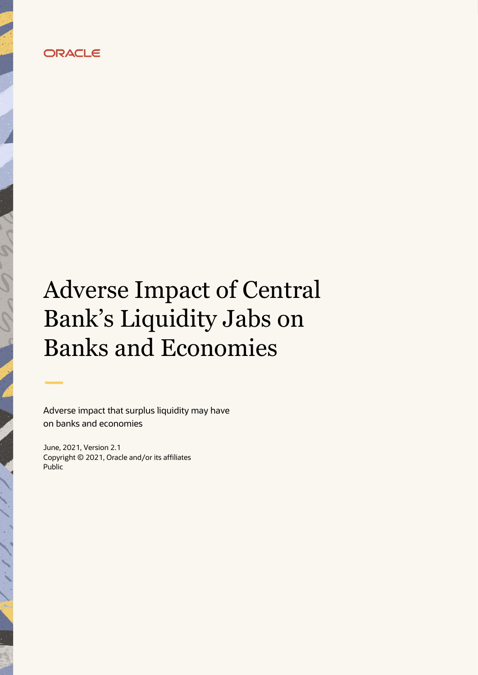# **ORACLE**

# Adverse Impact of Central Bank's Liquidity Jabs on Banks and Economies

Adverse impact that surplus liquidity may have on banks and economies

June, 2021, Version 2.1 Copyright © 2021, Oracle and/or its affiliates Public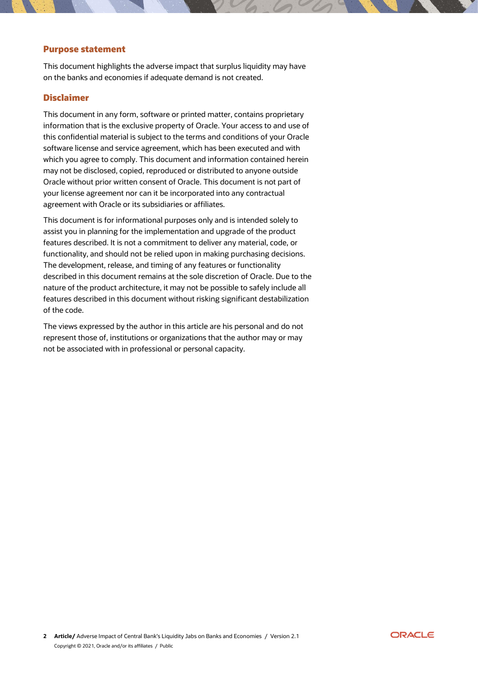#### **Purpose statement**

This document highlights the adverse impact that surplus liquidity may have on the banks and economies if adequate demand is not created.

#### **Disclaimer**

This document in any form, software or printed matter, contains proprietary information that is the exclusive property of Oracle. Your access to and use of this confidential material is subject to the terms and conditions of your Oracle software license and service agreement, which has been executed and with which you agree to comply. This document and information contained herein may not be disclosed, copied, reproduced or distributed to anyone outside Oracle without prior written consent of Oracle. This document is not part of your license agreement nor can it be incorporated into any contractual agreement with Oracle or its subsidiaries or affiliates.

This document is for informational purposes only and is intended solely to assist you in planning for the implementation and upgrade of the product features described. It is not a commitment to deliver any material, code, or functionality, and should not be relied upon in making purchasing decisions. The development, release, and timing of any features or functionality described in this document remains at the sole discretion of Oracle. Due to the nature of the product architecture, it may not be possible to safely include all features described in this document without risking significant destabilization of the code.

The views expressed by the author in this article are his personal and do not represent those of, institutions or organizations that the author may or may not be associated with in professional or personal capacity.

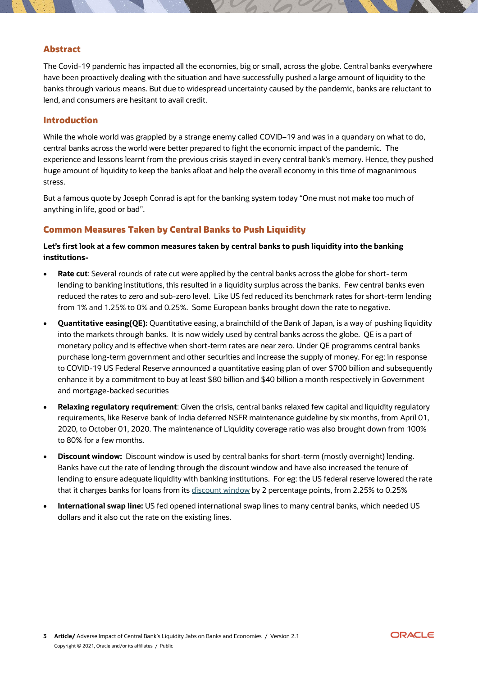#### **Abstract**

The Covid-19 pandemic has impacted all the economies, big or small, across the globe. Central banks everywhere have been proactively dealing with the situation and have successfully pushed a large amount of liquidity to the banks through various means. But due to widespread uncertainty caused by the pandemic, banks are reluctant to lend, and consumers are hesitant to avail credit.

#### **Introduction**

While the whole world was grappled by a strange enemy called COVID–19 and was in a quandary on what to do, central banks across the world were better prepared to fight the economic impact of the pandemic. The experience and lessons learnt from the previous crisis stayed in every central bank's memory. Hence, they pushed huge amount of liquidity to keep the banks afloat and help the overall economy in this time of magnanimous stress.

But a famous quote by Joseph Conrad is apt for the banking system today "One must not make too much of anything in life, good or bad".

# **Common Measures Taken by Central Banks to Push Liquidity**

**Let's first look at a few common measures taken by central banks to push liquidity into the banking institutions-**

- **Rate cut**: Several rounds of rate cut were applied by the central banks across the globe for short- term lending to banking institutions, this resulted in a liquidity surplus across the banks. Few central banks even reduced the rates to zero and sub-zero level. Like US fed reduced its benchmark rates for short-term lending from 1% and 1.25% to 0% and 0.25%. Some European banks brought down the rate to negative.
- **Quantitative easing(QE):** Quantitative easing, a brainchild of the Bank of Japan, is a way of pushing liquidity into the markets through banks. It is now widely used by central banks across the globe. QE is a part of monetary policy and is effective when short-term rates are near zero. Under QE programms central banks purchase long-term government and other securities and increase the supply of money. For eg: in response to COVID-19 US Federal Reserve announced a quantitative easing plan of over \$700 billion and subsequently enhance it by a commitment to buy at least \$80 billion and \$40 billion a month respectively in Government and mortgage-backed securities
- **Relaxing regulatory requirement**: Given the crisis, central banks relaxed few capital and liquidity regulatory requirements, like Reserve bank of India deferred NSFR maintenance guideline by six months, from April 01, 2020, to October 01, 2020. The maintenance of Liquidity coverage ratio was also brought down from 100% to 80% for a few months.
- **Discount window:** Discount window is used by central banks for short-term (mostly overnight) lending. Banks have cut the rate of lending through the discount window and have also increased the tenure of lending to ensure adequate liquidity with banking institutions. For eg: the US federal reserve lowered the rate that it charges banks for loans from its [discount window](https://www.federalreserve.gov/regreform/discount-window.htm) by 2 percentage points, from 2.25% to 0.25%
- **International swap line:** US fed opened international swap lines to many central banks, which needed US dollars and it also cut the rate on the existing lines.

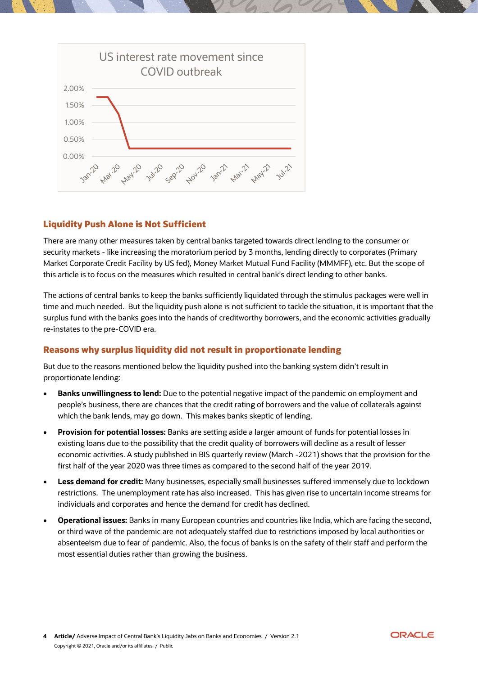

# **Liquidity Push Alone is Not Sufficient**

There are many other measures taken by central banks targeted towards direct lending to the consumer or security markets - like increasing the moratorium period by 3 months, lending directly to corporates (Primary Market Corporate Credit Facility by US fed), Money Market Mutual Fund Facility (MMMFF), etc. But the scope of this article is to focus on the measures which resulted in central bank's direct lending to other banks.

The actions of central banks to keep the banks sufficiently liquidated through the stimulus packages were well in time and much needed. But the liquidity push alone is not sufficient to tackle the situation, it is important that the surplus fund with the banks goes into the hands of creditworthy borrowers, and the economic activities gradually re-instates to the pre-COVID era.

#### **Reasons why surplus liquidity did not result in proportionate lending**

But due to the reasons mentioned below the liquidity pushed into the banking system didn't result in proportionate lending:

- **Banks unwillingness to lend:** Due to the potential negative impact of the pandemic on employment and people's business, there are chances that the credit rating of borrowers and the value of collaterals against which the bank lends, may go down. This makes banks skeptic of lending.
- **Provision for potential losses:** Banks are setting aside a larger amount of funds for potential losses in existing loans due to the possibility that the credit quality of borrowers will decline as a result of lesser economic activities. A study published in BIS quarterly review (March -2021) shows that the provision for the first half of the year 2020 was three times as compared to the second half of the year 2019.
- **Less demand for credit:** Many businesses, especially small businesses suffered immensely due to lockdown restrictions. The unemployment rate has also increased. This has given rise to uncertain income streams for individuals and corporates and hence the demand for credit has declined.
- **Operational issues:** Banks in many European countries and countries like India, which are facing the second, or third wave of the pandemic are not adequately staffed due to restrictions imposed by local authorities or absenteeism due to fear of pandemic. Also, the focus of banks is on the safety of their staff and perform the most essential duties rather than growing the business.

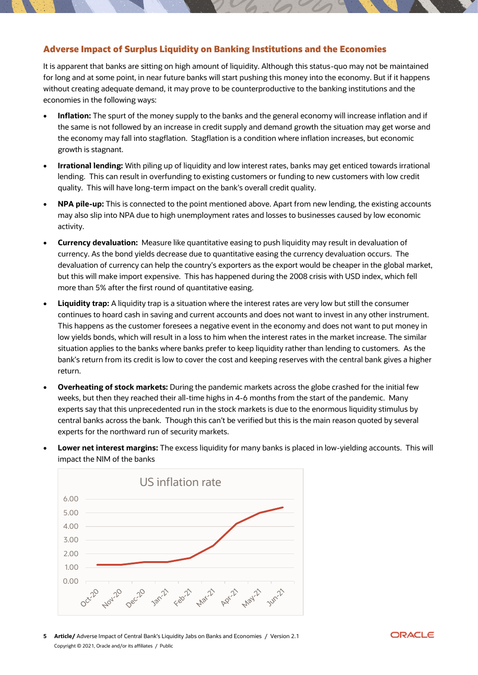#### **Adverse Impact of Surplus Liquidity on Banking Institutions and the Economies**

It is apparent that banks are sitting on high amount of liquidity. Although this status-quo may not be maintained for long and at some point, in near future banks will start pushing this money into the economy. But if it happens without creating adequate demand, it may prove to be counterproductive to the banking institutions and the economies in the following ways:

- **Inflation:** The spurt of the money supply to the banks and the general economy will increase inflation and if the same is not followed by an increase in credit supply and demand growth the situation may get worse and the economy may fall into stagflation. Stagflation is a condition where inflation increases, but economic growth is stagnant.
- **Irrational lending:** With piling up of liquidity and low interest rates, banks may get enticed towards irrational lending. This can result in overfunding to existing customers or funding to new customers with low credit quality. This will have long-term impact on the bank's overall credit quality.
- **NPA pile-up:** This is connected to the point mentioned above. Apart from new lending, the existing accounts may also slip into NPA due to high unemployment rates and losses to businesses caused by low economic activity.
- **Currency devaluation:** Measure like quantitative easing to push liquidity may result in devaluation of currency. As the bond yields decrease due to quantitative easing the currency devaluation occurs. The devaluation of currency can help the country's exporters as the export would be cheaper in the global market, but this will make import expensive. This has happened during the 2008 crisis with USD index, which fell more than 5% after the first round of quantitative easing.
- **Liquidity trap:** A liquidity trap is a situation where the interest rates are very low but still the consumer continues to hoard cash in saving and current accounts and does not want to invest in any other instrument. This happens as the customer foresees a negative event in the economy and does not want to put money in low yields bonds, which will result in a loss to him when the interest rates in the market increase. The similar situation applies to the banks where banks prefer to keep liquidity rather than lending to customers. As the bank's return from its credit is low to cover the cost and keeping reserves with the central bank gives a higher return.
- **Overheating of stock markets:** During the pandemic markets across the globe crashed for the initial few weeks, but then they reached their all-time highs in 4-6 months from the start of the pandemic. Many experts say that this unprecedented run in the stock markets is due to the enormous liquidity stimulus by central banks across the bank. Though this can't be verified but this is the main reason quoted by several experts for the northward run of security markets.
- **Lower net interest margins:** The excess liquidity for many banks is placed in low-yielding accounts. This will impact the NIM of the banks



**5 Article/** Adverse Impact of Central Bank's Liquidity Jabs on Banks and Economies / Version 2.1 Copyright © 2021, Oracle and/or its affiliates / Public

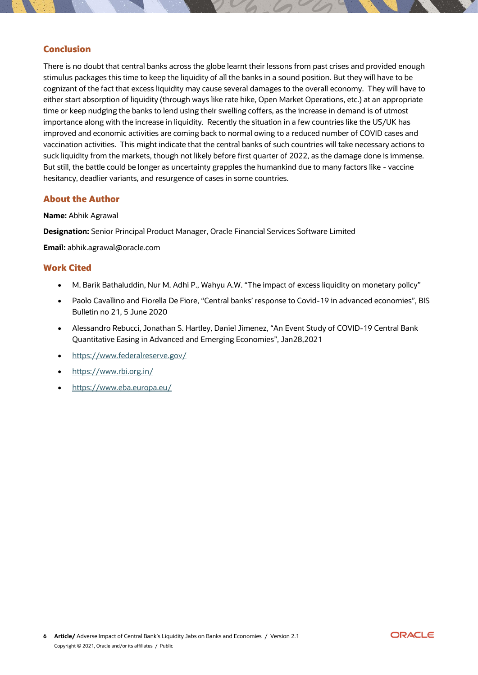### **Conclusion**

There is no doubt that central banks across the globe learnt their lessons from past crises and provided enough stimulus packages this time to keep the liquidity of all the banks in a sound position. But they will have to be cognizant of the fact that excess liquidity may cause several damages to the overall economy. They will have to either start absorption of liquidity (through ways like rate hike, Open Market Operations, etc.) at an appropriate time or keep nudging the banks to lend using their swelling coffers, as the increase in demand is of utmost importance along with the increase in liquidity. Recently the situation in a few countries like the US/UK has improved and economic activities are coming back to normal owing to a reduced number of COVID cases and vaccination activities. This might indicate that the central banks of such countries will take necessary actions to suck liquidity from the markets, though not likely before first quarter of 2022, as the damage done is immense. But still, the battle could be longer as uncertainty grapples the humankind due to many factors like - vaccine hesitancy, deadlier variants, and resurgence of cases in some countries.

#### **About the Author**

#### **Name:** Abhik Agrawal

**Designation:** Senior Principal Product Manager, Oracle Financial Services Software Limited

**Email:** abhik.agrawal@oracle.com

#### **Work Cited**

- M. Barik Bathaluddin, Nur M. Adhi P., Wahyu A.W. "The impact of excess liquidity on monetary policy"
- Paolo Cavallino and Fiorella De Fiore, "Central banks' response to Covid-19 in advanced economies", BIS Bulletin no 21, 5 June 2020
- Alessandro Rebucci, Jonathan S. Hartley, Daniel Jimenez, "An Event Study of COVID-19 Central Bank Quantitative Easing in Advanced and Emerging Economies", Jan28,2021
- <https://www.federalreserve.gov/>
- <https://www.rbi.org.in/>
- <https://www.eba.europa.eu/>